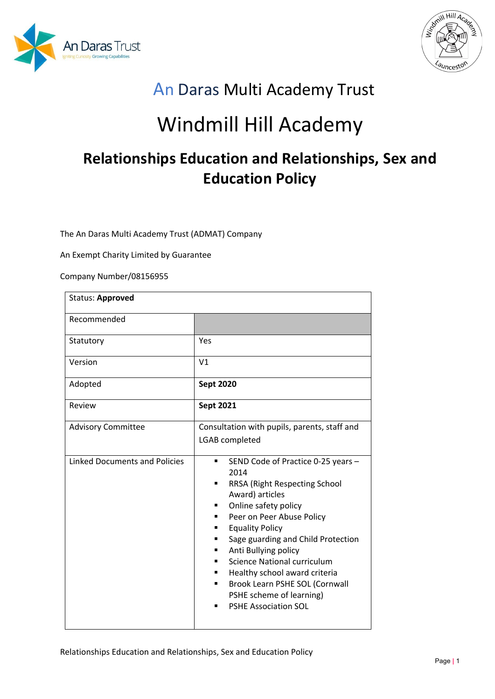



# An Daras Multi Academy Trust

# Windmill Hill Academy

# **Relationships Education and Relationships, Sex and Education Policy**

The An Daras Multi Academy Trust (ADMAT) Company

An Exempt Charity Limited by Guarantee

Company Number/08156955

| Status: Approved                     |                                                                                                                                                                                                                                                                                                                                                                                                                                                                                                   |  |  |  |  |  |
|--------------------------------------|---------------------------------------------------------------------------------------------------------------------------------------------------------------------------------------------------------------------------------------------------------------------------------------------------------------------------------------------------------------------------------------------------------------------------------------------------------------------------------------------------|--|--|--|--|--|
| Recommended                          |                                                                                                                                                                                                                                                                                                                                                                                                                                                                                                   |  |  |  |  |  |
| Statutory                            | Yes                                                                                                                                                                                                                                                                                                                                                                                                                                                                                               |  |  |  |  |  |
| Version                              | V <sub>1</sub>                                                                                                                                                                                                                                                                                                                                                                                                                                                                                    |  |  |  |  |  |
| Adopted                              | <b>Sept 2020</b>                                                                                                                                                                                                                                                                                                                                                                                                                                                                                  |  |  |  |  |  |
| Review                               | <b>Sept 2021</b>                                                                                                                                                                                                                                                                                                                                                                                                                                                                                  |  |  |  |  |  |
| <b>Advisory Committee</b>            | Consultation with pupils, parents, staff and<br>LGAB completed                                                                                                                                                                                                                                                                                                                                                                                                                                    |  |  |  |  |  |
| <b>Linked Documents and Policies</b> | SEND Code of Practice 0-25 years -<br>$\blacksquare$<br>2014<br>RRSA (Right Respecting School<br>■<br>Award) articles<br>Online safety policy<br>٠<br>Peer on Peer Abuse Policy<br>п<br><b>Equality Policy</b><br>Sage guarding and Child Protection<br>٠<br>Anti Bullying policy<br>п<br>Science National curriculum<br>٠<br>Healthy school award criteria<br>п<br>Brook Learn PSHE SOL (Cornwall<br>$\blacksquare$<br>PSHE scheme of learning)<br><b>PSHE Association SOL</b><br>$\blacksquare$ |  |  |  |  |  |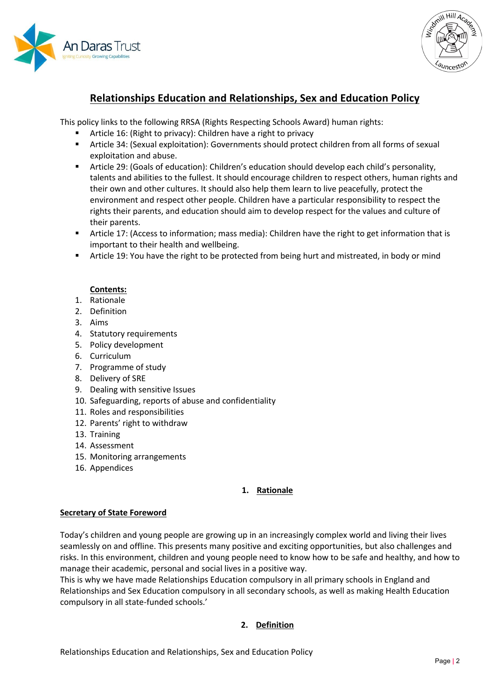



# **Relationships Education and Relationships, Sex and Education Policy**

This policy links to the following RRSA (Rights Respecting Schools Award) human rights:

- § Article 16: (Right to privacy): Children have a right to privacy
- § Article 34: (Sexual exploitation): Governments should protect children from all forms of sexual exploitation and abuse.
- Article 29: (Goals of education): Children's education should develop each child's personality, talents and abilities to the fullest. It should encourage children to respect others, human rights and their own and other cultures. It should also help them learn to live peacefully, protect the environment and respect other people. Children have a particular responsibility to respect the rights their parents, and education should aim to develop respect for the values and culture of their parents.
- § Article 17: (Access to information; mass media): Children have the right to get information that is important to their health and wellbeing.
- Article 19: You have the right to be protected from being hurt and mistreated, in body or mind

#### **Contents:**

- 1. Rationale
- 2. Definition
- 3. Aims
- 4. Statutory requirements
- 5. Policy development
- 6. Curriculum
- 7. Programme of study
- 8. Delivery of SRE
- 9. Dealing with sensitive Issues
- 10. Safeguarding, reports of abuse and confidentiality
- 11. Roles and responsibilities
- 12. Parents' right to withdraw
- 13. Training
- 14. Assessment
- 15. Monitoring arrangements
- 16. Appendices

#### **1. Rationale**

#### **Secretary of State Foreword**

Today's children and young people are growing up in an increasingly complex world and living their lives seamlessly on and offline. This presents many positive and exciting opportunities, but also challenges and risks. In this environment, children and young people need to know how to be safe and healthy, and how to manage their academic, personal and social lives in a positive way.

This is why we have made Relationships Education compulsory in all primary schools in England and Relationships and Sex Education compulsory in all secondary schools, as well as making Health Education compulsory in all state-funded schools.'

# **2. Definition**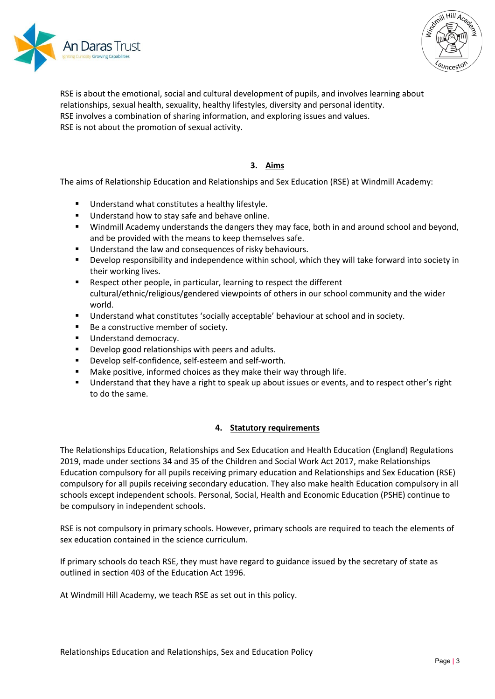



RSE is about the emotional, social and cultural development of pupils, and involves learning about relationships, sexual health, sexuality, healthy lifestyles, diversity and personal identity. RSE involves a combination of sharing information, and exploring issues and values. RSE is not about the promotion of sexual activity.

# **3. Aims**

The aims of Relationship Education and Relationships and Sex Education (RSE) at Windmill Academy:

- Understand what constitutes a healthy lifestyle.
- Understand how to stay safe and behave online.
- Windmill Academy understands the dangers they may face, both in and around school and beyond, and be provided with the means to keep themselves safe.
- Understand the law and consequences of risky behaviours.
- § Develop responsibility and independence within school, which they will take forward into society in their working lives.
- Respect other people, in particular, learning to respect the different cultural/ethnic/religious/gendered viewpoints of others in our school community and the wider world.
- Understand what constitutes 'socially acceptable' behaviour at school and in society.
- Be a constructive member of society.
- Understand democracy.
- **■** Develop good relationships with peers and adults.
- Develop self-confidence, self-esteem and self-worth.
- Make positive, informed choices as they make their way through life.
- Understand that they have a right to speak up about issues or events, and to respect other's right to do the same.

#### **4. Statutory requirements**

The Relationships Education, Relationships and Sex Education and Health Education (England) Regulations 2019, made under sections 34 and 35 of the Children and Social Work Act 2017, make Relationships Education compulsory for all pupils receiving primary education and Relationships and Sex Education (RSE) compulsory for all pupils receiving secondary education. They also make health Education compulsory in all schools except independent schools. Personal, Social, Health and Economic Education (PSHE) continue to be compulsory in independent schools.

RSE is not compulsory in primary schools. However, primary schools are required to teach the elements of sex education contained in the science curriculum.

If primary schools do teach RSE, they must have regard to guidance issued by the secretary of state as outlined in section 403 of the Education Act 1996.

At Windmill Hill Academy, we teach RSE as set out in this policy.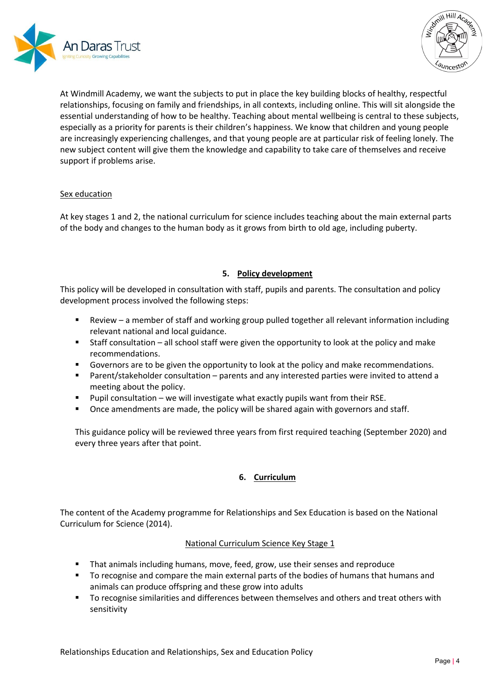



At Windmill Academy, we want the subjects to put in place the key building blocks of healthy, respectful relationships, focusing on family and friendships, in all contexts, including online. This will sit alongside the essential understanding of how to be healthy. Teaching about mental wellbeing is central to these subjects, especially as a priority for parents is their children's happiness. We know that children and young people are increasingly experiencing challenges, and that young people are at particular risk of feeling lonely. The new subject content will give them the knowledge and capability to take care of themselves and receive support if problems arise.

#### Sex education

At key stages 1 and 2, the national curriculum for science includes teaching about the main external parts of the body and changes to the human body as it grows from birth to old age, including puberty.

#### **5. Policy development**

This policy will be developed in consultation with staff, pupils and parents. The consultation and policy development process involved the following steps:

- Review a member of staff and working group pulled together all relevant information including relevant national and local guidance.
- Staff consultation all school staff were given the opportunity to look at the policy and make recommendations.
- Governors are to be given the opportunity to look at the policy and make recommendations.
- Parent/stakeholder consultation parents and any interested parties were invited to attend a meeting about the policy.
- Pupil consultation we will investigate what exactly pupils want from their RSE.
- § Once amendments are made, the policy will be shared again with governors and staff.

This guidance policy will be reviewed three years from first required teaching (September 2020) and every three years after that point.

#### **6. Curriculum**

The content of the Academy programme for Relationships and Sex Education is based on the National Curriculum for Science (2014).

#### National Curriculum Science Key Stage 1

- That animals including humans, move, feed, grow, use their senses and reproduce
- § To recognise and compare the main external parts of the bodies of humans that humans and animals can produce offspring and these grow into adults
- To recognise similarities and differences between themselves and others and treat others with sensitivity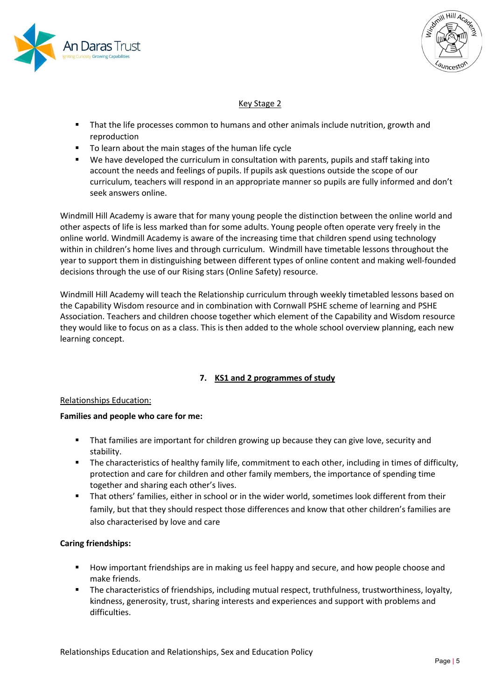



# Key Stage 2

- § That the life processes common to humans and other animals include nutrition, growth and reproduction
- To learn about the main stages of the human life cycle
- We have developed the curriculum in consultation with parents, pupils and staff taking into account the needs and feelings of pupils. If pupils ask questions outside the scope of our curriculum, teachers will respond in an appropriate manner so pupils are fully informed and don't seek answers online.

Windmill Hill Academy is aware that for many young people the distinction between the online world and other aspects of life is less marked than for some adults. Young people often operate very freely in the online world. Windmill Academy is aware of the increasing time that children spend using technology within in children's home lives and through curriculum. Windmill have timetable lessons throughout the year to support them in distinguishing between different types of online content and making well-founded decisions through the use of our Rising stars (Online Safety) resource.

Windmill Hill Academy will teach the Relationship curriculum through weekly timetabled lessons based on the Capability Wisdom resource and in combination with Cornwall PSHE scheme of learning and PSHE Association. Teachers and children choose together which element of the Capability and Wisdom resource they would like to focus on as a class. This is then added to the whole school overview planning, each new learning concept.

# **7. KS1 and 2 programmes of study**

#### Relationships Education:

#### **Families and people who care for me:**

- That families are important for children growing up because they can give love, security and stability.
- The characteristics of healthy family life, commitment to each other, including in times of difficulty, protection and care for children and other family members, the importance of spending time together and sharing each other's lives.
- § That others' families, either in school or in the wider world, sometimes look different from their family, but that they should respect those differences and know that other children's families are also characterised by love and care

# **Caring friendships:**

- How important friendships are in making us feel happy and secure, and how people choose and make friends.
- § The characteristics of friendships, including mutual respect, truthfulness, trustworthiness, loyalty, kindness, generosity, trust, sharing interests and experiences and support with problems and difficulties.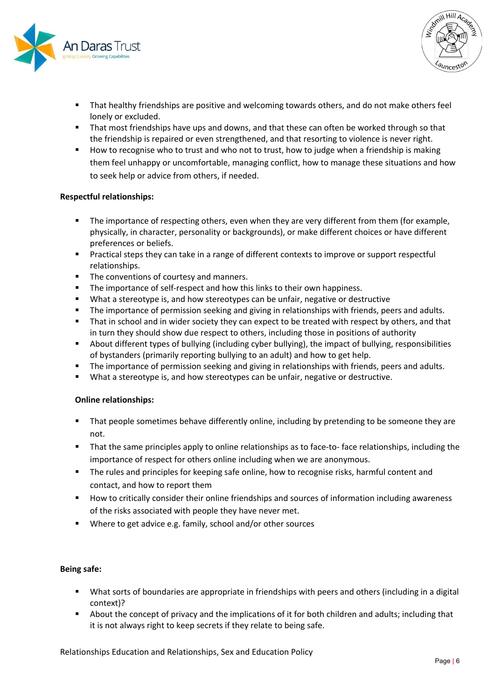



- § That healthy friendships are positive and welcoming towards others, and do not make others feel lonely or excluded.
- That most friendships have ups and downs, and that these can often be worked through so that the friendship is repaired or even strengthened, and that resorting to violence is never right.
- How to recognise who to trust and who not to trust, how to judge when a friendship is making them feel unhappy or uncomfortable, managing conflict, how to manage these situations and how to seek help or advice from others, if needed.

# **Respectful relationships:**

- The importance of respecting others, even when they are very different from them (for example, physically, in character, personality or backgrounds), or make different choices or have different preferences or beliefs.
- Practical steps they can take in a range of different contexts to improve or support respectful relationships.
- The conventions of courtesy and manners.
- The importance of self-respect and how this links to their own happiness.
- § What a stereotype is, and how stereotypes can be unfair, negative or destructive
- **•** The importance of permission seeking and giving in relationships with friends, peers and adults.
- That in school and in wider society they can expect to be treated with respect by others, and that in turn they should show due respect to others, including those in positions of authority
- § About different types of bullying (including cyber bullying), the impact of bullying, responsibilities of bystanders (primarily reporting bullying to an adult) and how to get help.
- The importance of permission seeking and giving in relationships with friends, peers and adults.
- § What a stereotype is, and how stereotypes can be unfair, negative or destructive.

# **Online relationships:**

- **•** That people sometimes behave differently online, including by pretending to be someone they are not.
- That the same principles apply to online relationships as to face-to- face relationships, including the importance of respect for others online including when we are anonymous.
- The rules and principles for keeping safe online, how to recognise risks, harmful content and contact, and how to report them
- How to critically consider their online friendships and sources of information including awareness of the risks associated with people they have never met.
- Where to get advice e.g. family, school and/or other sources

# **Being safe:**

- § What sorts of boundaries are appropriate in friendships with peers and others (including in a digital context)?
- § About the concept of privacy and the implications of it for both children and adults; including that it is not always right to keep secrets if they relate to being safe.

Relationships Education and Relationships, Sex and Education Policy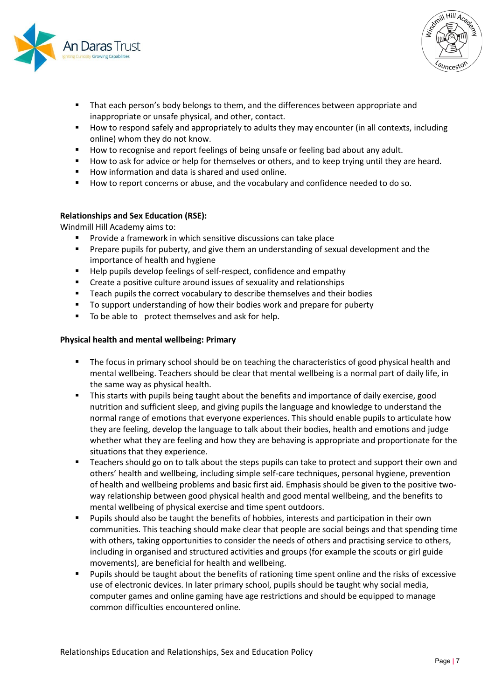



- That each person's body belongs to them, and the differences between appropriate and inappropriate or unsafe physical, and other, contact.
- How to respond safely and appropriately to adults they may encounter (in all contexts, including online) whom they do not know.
- How to recognise and report feelings of being unsafe or feeling bad about any adult.
- How to ask for advice or help for themselves or others, and to keep trying until they are heard.
- How information and data is shared and used online.
- How to report concerns or abuse, and the vocabulary and confidence needed to do so.

#### **Relationships and Sex Education (RSE):**

Windmill Hill Academy aims to:

- § Provide a framework in which sensitive discussions can take place
- § Prepare pupils for puberty, and give them an understanding of sexual development and the importance of health and hygiene
- Help pupils develop feelings of self-respect, confidence and empathy
- Create a positive culture around issues of sexuality and relationships
- § Teach pupils the correct vocabulary to describe themselves and their bodies
- § To support understanding of how their bodies work and prepare for puberty
- To be able to protect themselves and ask for help.

#### **Physical health and mental wellbeing: Primary**

- **•** The focus in primary school should be on teaching the characteristics of good physical health and mental wellbeing. Teachers should be clear that mental wellbeing is a normal part of daily life, in the same way as physical health.
- § This starts with pupils being taught about the benefits and importance of daily exercise, good nutrition and sufficient sleep, and giving pupils the language and knowledge to understand the normal range of emotions that everyone experiences. This should enable pupils to articulate how they are feeling, develop the language to talk about their bodies, health and emotions and judge whether what they are feeling and how they are behaving is appropriate and proportionate for the situations that they experience.
- Teachers should go on to talk about the steps pupils can take to protect and support their own and others' health and wellbeing, including simple self-care techniques, personal hygiene, prevention of health and wellbeing problems and basic first aid. Emphasis should be given to the positive twoway relationship between good physical health and good mental wellbeing, and the benefits to mental wellbeing of physical exercise and time spent outdoors.
- § Pupils should also be taught the benefits of hobbies, interests and participation in their own communities. This teaching should make clear that people are social beings and that spending time with others, taking opportunities to consider the needs of others and practising service to others, including in organised and structured activities and groups (for example the scouts or girl guide movements), are beneficial for health and wellbeing.
- § Pupils should be taught about the benefits of rationing time spent online and the risks of excessive use of electronic devices. In later primary school, pupils should be taught why social media, computer games and online gaming have age restrictions and should be equipped to manage common difficulties encountered online.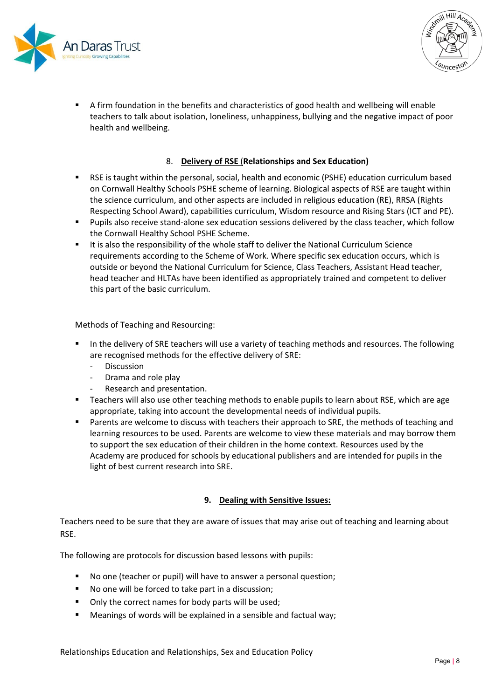



§ A firm foundation in the benefits and characteristics of good health and wellbeing will enable teachers to talk about isolation, loneliness, unhappiness, bullying and the negative impact of poor health and wellbeing.

# 8. **Delivery of RSE** (**Relationships and Sex Education)**

- RSE is taught within the personal, social, health and economic (PSHE) education curriculum based on Cornwall Healthy Schools PSHE scheme of learning. Biological aspects of RSE are taught within the science curriculum, and other aspects are included in religious education (RE), RRSA (Rights Respecting School Award), capabilities curriculum, Wisdom resource and Rising Stars (ICT and PE).
- § Pupils also receive stand-alone sex education sessions delivered by the class teacher, which follow the Cornwall Healthy School PSHE Scheme.
- It is also the responsibility of the whole staff to deliver the National Curriculum Science requirements according to the Scheme of Work. Where specific sex education occurs, which is outside or beyond the National Curriculum for Science, Class Teachers, Assistant Head teacher, head teacher and HLTAs have been identified as appropriately trained and competent to deliver this part of the basic curriculum.

Methods of Teaching and Resourcing:

- In the delivery of SRE teachers will use a variety of teaching methods and resources. The following are recognised methods for the effective delivery of SRE:
	- **Discussion**
	- Drama and role play
	- Research and presentation.
- Teachers will also use other teaching methods to enable pupils to learn about RSE, which are age appropriate, taking into account the developmental needs of individual pupils.
- Parents are welcome to discuss with teachers their approach to SRE, the methods of teaching and learning resources to be used. Parents are welcome to view these materials and may borrow them to support the sex education of their children in the home context. Resources used by the Academy are produced for schools by educational publishers and are intended for pupils in the light of best current research into SRE.

# **9. Dealing with Sensitive Issues:**

Teachers need to be sure that they are aware of issues that may arise out of teaching and learning about RSE.

The following are protocols for discussion based lessons with pupils:

- No one (teacher or pupil) will have to answer a personal question;
- No one will be forced to take part in a discussion;
- Only the correct names for body parts will be used;
- Meanings of words will be explained in a sensible and factual way;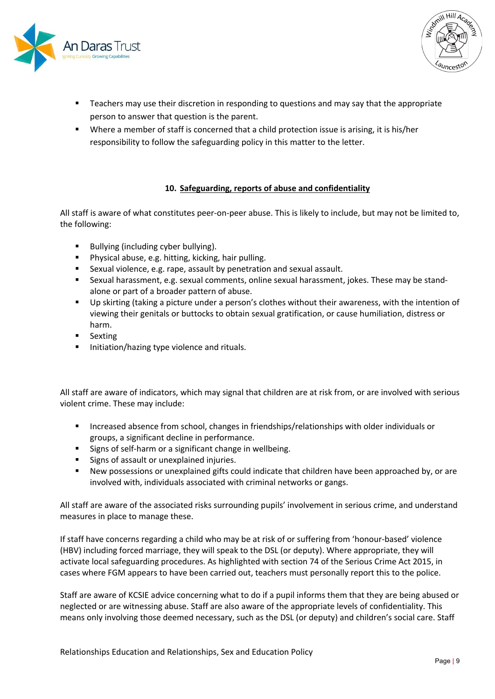



- § Teachers may use their discretion in responding to questions and may say that the appropriate person to answer that question is the parent.
- Where a member of staff is concerned that a child protection issue is arising, it is his/her responsibility to follow the safeguarding policy in this matter to the letter.

# **10. Safeguarding, reports of abuse and confidentiality**

All staff is aware of what constitutes peer-on-peer abuse. This is likely to include, but may not be limited to, the following:

- Bullying (including cyber bullying).
- § Physical abuse, e.g. hitting, kicking, hair pulling.
- Sexual violence, e.g. rape, assault by penetration and sexual assault.
- § Sexual harassment, e.g. sexual comments, online sexual harassment, jokes. These may be standalone or part of a broader pattern of abuse.
- § Up skirting (taking a picture under a person's clothes without their awareness, with the intention of viewing their genitals or buttocks to obtain sexual gratification, or cause humiliation, distress or harm.
- § Sexting
- Initiation/hazing type violence and rituals.

All staff are aware of indicators, which may signal that children are at risk from, or are involved with serious violent crime. These may include:

- Increased absence from school, changes in friendships/relationships with older individuals or groups, a significant decline in performance.
- Signs of self-harm or a significant change in wellbeing.
- Signs of assault or unexplained injuries.
- New possessions or unexplained gifts could indicate that children have been approached by, or are involved with, individuals associated with criminal networks or gangs.

All staff are aware of the associated risks surrounding pupils' involvement in serious crime, and understand measures in place to manage these.

If staff have concerns regarding a child who may be at risk of or suffering from 'honour-based' violence (HBV) including forced marriage, they will speak to the DSL (or deputy). Where appropriate, they will activate local safeguarding procedures. As highlighted with section 74 of the Serious Crime Act 2015, in cases where FGM appears to have been carried out, teachers must personally report this to the police.

Staff are aware of KCSIE advice concerning what to do if a pupil informs them that they are being abused or neglected or are witnessing abuse. Staff are also aware of the appropriate levels of confidentiality. This means only involving those deemed necessary, such as the DSL (or deputy) and children's social care. Staff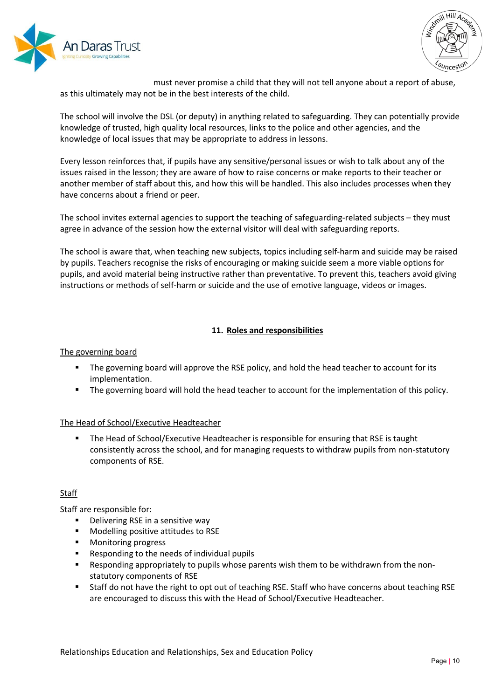



must never promise a child that they will not tell anyone about a report of abuse, as this ultimately may not be in the best interests of the child.

The school will involve the DSL (or deputy) in anything related to safeguarding. They can potentially provide knowledge of trusted, high quality local resources, links to the police and other agencies, and the knowledge of local issues that may be appropriate to address in lessons.

Every lesson reinforces that, if pupils have any sensitive/personal issues or wish to talk about any of the issues raised in the lesson; they are aware of how to raise concerns or make reports to their teacher or another member of staff about this, and how this will be handled. This also includes processes when they have concerns about a friend or peer.

The school invites external agencies to support the teaching of safeguarding-related subjects – they must agree in advance of the session how the external visitor will deal with safeguarding reports.

The school is aware that, when teaching new subjects, topics including self-harm and suicide may be raised by pupils. Teachers recognise the risks of encouraging or making suicide seem a more viable options for pupils, and avoid material being instructive rather than preventative. To prevent this, teachers avoid giving instructions or methods of self-harm or suicide and the use of emotive language, videos or images.

# **11. Roles and responsibilities**

#### The governing board

- The governing board will approve the RSE policy, and hold the head teacher to account for its implementation.
- The governing board will hold the head teacher to account for the implementation of this policy.

# The Head of School/Executive Headteacher

The Head of School/Executive Headteacher is responsible for ensuring that RSE is taught consistently across the school, and for managing requests to withdraw pupils from non-statutory components of RSE.

# Staff

Staff are responsible for:

- Delivering RSE in a sensitive way
- Modelling positive attitudes to RSE
- Monitoring progress
- Responding to the needs of individual pupils
- Responding appropriately to pupils whose parents wish them to be withdrawn from the nonstatutory components of RSE
- § Staff do not have the right to opt out of teaching RSE. Staff who have concerns about teaching RSE are encouraged to discuss this with the Head of School/Executive Headteacher.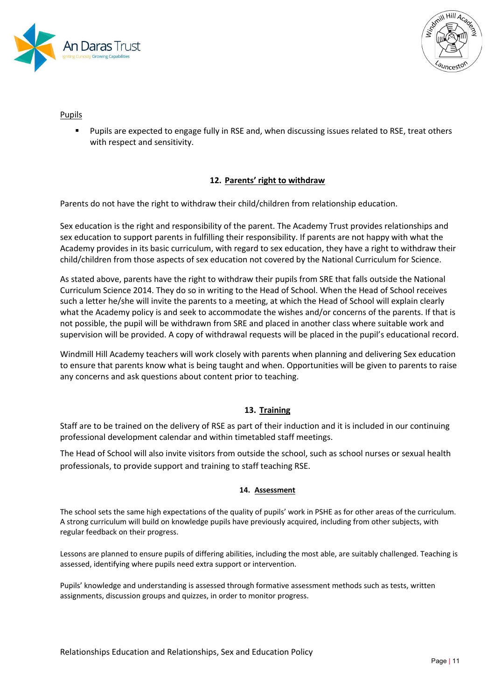



#### Pupils

Pupils are expected to engage fully in RSE and, when discussing issues related to RSE, treat others with respect and sensitivity.

#### **12. Parents' right to withdraw**

Parents do not have the right to withdraw their child/children from relationship education.

Sex education is the right and responsibility of the parent. The Academy Trust provides relationships and sex education to support parents in fulfilling their responsibility. If parents are not happy with what the Academy provides in its basic curriculum, with regard to sex education, they have a right to withdraw their child/children from those aspects of sex education not covered by the National Curriculum for Science.

As stated above, parents have the right to withdraw their pupils from SRE that falls outside the National Curriculum Science 2014. They do so in writing to the Head of School. When the Head of School receives such a letter he/she will invite the parents to a meeting, at which the Head of School will explain clearly what the Academy policy is and seek to accommodate the wishes and/or concerns of the parents. If that is not possible, the pupil will be withdrawn from SRE and placed in another class where suitable work and supervision will be provided. A copy of withdrawal requests will be placed in the pupil's educational record.

Windmill Hill Academy teachers will work closely with parents when planning and delivering Sex education to ensure that parents know what is being taught and when. Opportunities will be given to parents to raise any concerns and ask questions about content prior to teaching.

#### **13. Training**

Staff are to be trained on the delivery of RSE as part of their induction and it is included in our continuing professional development calendar and within timetabled staff meetings.

The Head of School will also invite visitors from outside the school, such as school nurses or sexual health professionals, to provide support and training to staff teaching RSE.

#### **14. Assessment**

The school sets the same high expectations of the quality of pupils' work in PSHE as for other areas of the curriculum. A strong curriculum will build on knowledge pupils have previously acquired, including from other subjects, with regular feedback on their progress.

Lessons are planned to ensure pupils of differing abilities, including the most able, are suitably challenged. Teaching is assessed, identifying where pupils need extra support or intervention.

Pupils' knowledge and understanding is assessed through formative assessment methods such as tests, written assignments, discussion groups and quizzes, in order to monitor progress.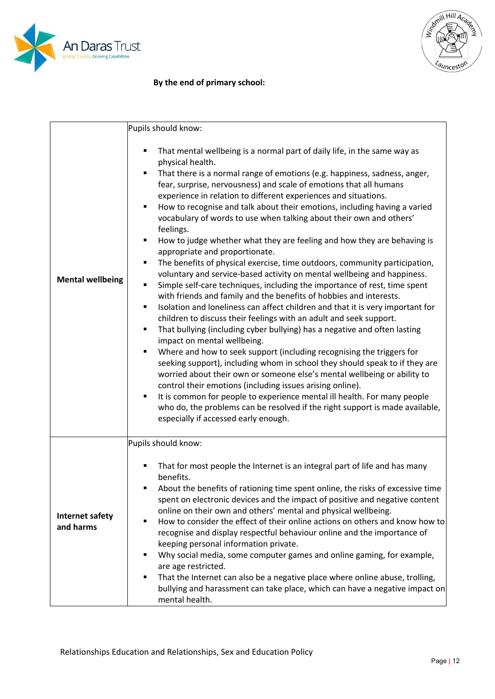



# **By the end of primary school:**

| Pupils should know:          |                                                                                                                                                                                                                                                                                                                                                                                                                                                                                                                                                                                                                                                                                                                                                                                                                                                                                                                                                                                                                                                                                                                                                                                                                                                                                                                                                                                                                                                                                                                                                                                                                                                                                                                               |  |  |  |  |
|------------------------------|-------------------------------------------------------------------------------------------------------------------------------------------------------------------------------------------------------------------------------------------------------------------------------------------------------------------------------------------------------------------------------------------------------------------------------------------------------------------------------------------------------------------------------------------------------------------------------------------------------------------------------------------------------------------------------------------------------------------------------------------------------------------------------------------------------------------------------------------------------------------------------------------------------------------------------------------------------------------------------------------------------------------------------------------------------------------------------------------------------------------------------------------------------------------------------------------------------------------------------------------------------------------------------------------------------------------------------------------------------------------------------------------------------------------------------------------------------------------------------------------------------------------------------------------------------------------------------------------------------------------------------------------------------------------------------------------------------------------------------|--|--|--|--|
| <b>Mental wellbeing</b>      | That mental wellbeing is a normal part of daily life, in the same way as<br>physical health.<br>That there is a normal range of emotions (e.g. happiness, sadness, anger,<br>٠<br>fear, surprise, nervousness) and scale of emotions that all humans<br>experience in relation to different experiences and situations.<br>How to recognise and talk about their emotions, including having a varied<br>٠<br>vocabulary of words to use when talking about their own and others'<br>feelings.<br>How to judge whether what they are feeling and how they are behaving is<br>٠<br>appropriate and proportionate.<br>The benefits of physical exercise, time outdoors, community participation,<br>٠<br>voluntary and service-based activity on mental wellbeing and happiness.<br>Simple self-care techniques, including the importance of rest, time spent<br>with friends and family and the benefits of hobbies and interests.<br>Isolation and loneliness can affect children and that it is very important for<br>٠<br>children to discuss their feelings with an adult and seek support.<br>That bullying (including cyber bullying) has a negative and often lasting<br>٠<br>impact on mental wellbeing.<br>Where and how to seek support (including recognising the triggers for<br>٠<br>seeking support), including whom in school they should speak to if they are<br>worried about their own or someone else's mental wellbeing or ability to<br>control their emotions (including issues arising online).<br>It is common for people to experience mental ill health. For many people<br>٠<br>who do, the problems can be resolved if the right support is made available,<br>especially if accessed early enough. |  |  |  |  |
| Internet safety<br>and harms | Pupils should know:<br>That for most people the Internet is an integral part of life and has many<br>benefits.<br>About the benefits of rationing time spent online, the risks of excessive time<br>spent on electronic devices and the impact of positive and negative content<br>online on their own and others' mental and physical wellbeing.<br>How to consider the effect of their online actions on others and know how to<br>٠<br>recognise and display respectful behaviour online and the importance of<br>keeping personal information private.<br>Why social media, some computer games and online gaming, for example,<br>are age restricted.<br>That the Internet can also be a negative place where online abuse, trolling,<br>bullying and harassment can take place, which can have a negative impact on<br>mental health.                                                                                                                                                                                                                                                                                                                                                                                                                                                                                                                                                                                                                                                                                                                                                                                                                                                                                   |  |  |  |  |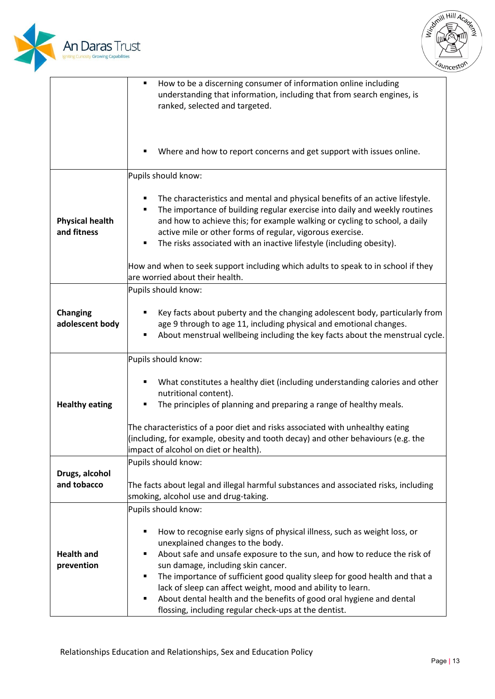



|                                       | How to be a discerning consumer of information online including<br>п<br>understanding that information, including that from search engines, is |  |  |  |  |  |
|---------------------------------------|------------------------------------------------------------------------------------------------------------------------------------------------|--|--|--|--|--|
|                                       | ranked, selected and targeted.                                                                                                                 |  |  |  |  |  |
|                                       |                                                                                                                                                |  |  |  |  |  |
|                                       |                                                                                                                                                |  |  |  |  |  |
|                                       | Where and how to report concerns and get support with issues online.                                                                           |  |  |  |  |  |
|                                       | Pupils should know:                                                                                                                            |  |  |  |  |  |
|                                       | The characteristics and mental and physical benefits of an active lifestyle.                                                                   |  |  |  |  |  |
|                                       | The importance of building regular exercise into daily and weekly routines                                                                     |  |  |  |  |  |
| <b>Physical health</b><br>and fitness | and how to achieve this; for example walking or cycling to school, a daily<br>active mile or other forms of regular, vigorous exercise.        |  |  |  |  |  |
|                                       | The risks associated with an inactive lifestyle (including obesity).                                                                           |  |  |  |  |  |
|                                       |                                                                                                                                                |  |  |  |  |  |
|                                       | How and when to seek support including which adults to speak to in school if they<br>are worried about their health.                           |  |  |  |  |  |
|                                       | Pupils should know:                                                                                                                            |  |  |  |  |  |
| <b>Changing</b>                       | Key facts about puberty and the changing adolescent body, particularly from                                                                    |  |  |  |  |  |
| adolescent body                       | age 9 through to age 11, including physical and emotional changes.                                                                             |  |  |  |  |  |
|                                       | About menstrual wellbeing including the key facts about the menstrual cycle.                                                                   |  |  |  |  |  |
|                                       | Pupils should know:                                                                                                                            |  |  |  |  |  |
|                                       | What constitutes a healthy diet (including understanding calories and other                                                                    |  |  |  |  |  |
|                                       | nutritional content).                                                                                                                          |  |  |  |  |  |
| <b>Healthy eating</b>                 | The principles of planning and preparing a range of healthy meals.                                                                             |  |  |  |  |  |
|                                       | The characteristics of a poor diet and risks associated with unhealthy eating                                                                  |  |  |  |  |  |
|                                       | (including, for example, obesity and tooth decay) and other behaviours (e.g. the                                                               |  |  |  |  |  |
|                                       | impact of alcohol on diet or health).                                                                                                          |  |  |  |  |  |
| Drugs, alcohol                        | Pupils should know:                                                                                                                            |  |  |  |  |  |
| and tobacco                           | The facts about legal and illegal harmful substances and associated risks, including                                                           |  |  |  |  |  |
|                                       | smoking, alcohol use and drug-taking.                                                                                                          |  |  |  |  |  |
|                                       | Pupils should know:                                                                                                                            |  |  |  |  |  |
|                                       | How to recognise early signs of physical illness, such as weight loss, or                                                                      |  |  |  |  |  |
|                                       | unexplained changes to the body.                                                                                                               |  |  |  |  |  |
| <b>Health and</b><br>prevention       | About safe and unsafe exposure to the sun, and how to reduce the risk of<br>٠<br>sun damage, including skin cancer.                            |  |  |  |  |  |
|                                       | The importance of sufficient good quality sleep for good health and that a<br>٠                                                                |  |  |  |  |  |
|                                       | lack of sleep can affect weight, mood and ability to learn.                                                                                    |  |  |  |  |  |
|                                       | About dental health and the benefits of good oral hygiene and dental<br>flossing, including regular check-ups at the dentist.                  |  |  |  |  |  |
|                                       |                                                                                                                                                |  |  |  |  |  |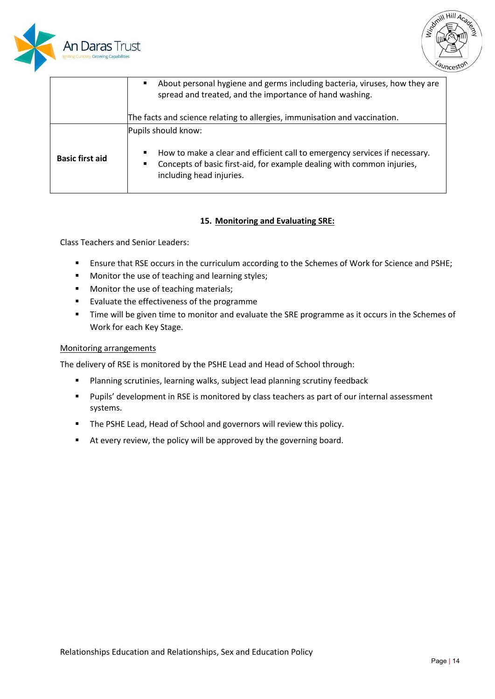



|                        | About personal hygiene and germs including bacteria, viruses, how they are<br>٠<br>spread and treated, and the importance of hand washing.<br>The facts and science relating to allergies, immunisation and vaccination. |  |  |  |  |  |
|------------------------|--------------------------------------------------------------------------------------------------------------------------------------------------------------------------------------------------------------------------|--|--|--|--|--|
|                        |                                                                                                                                                                                                                          |  |  |  |  |  |
| <b>Basic first aid</b> | Pupils should know:<br>How to make a clear and efficient call to emergency services if necessary.<br>п<br>Concepts of basic first-aid, for example dealing with common injuries,<br>п<br>including head injuries.        |  |  |  |  |  |

# **15. Monitoring and Evaluating SRE:**

Class Teachers and Senior Leaders:

- Ensure that RSE occurs in the curriculum according to the Schemes of Work for Science and PSHE;
- Monitor the use of teaching and learning styles;
- Monitor the use of teaching materials;
- Evaluate the effectiveness of the programme
- Time will be given time to monitor and evaluate the SRE programme as it occurs in the Schemes of Work for each Key Stage.

#### Monitoring arrangements

The delivery of RSE is monitored by the PSHE Lead and Head of School through:

- § Planning scrutinies, learning walks, subject lead planning scrutiny feedback
- Pupils' development in RSE is monitored by class teachers as part of our internal assessment systems.
- The PSHE Lead, Head of School and governors will review this policy.
- At every review, the policy will be approved by the governing board.